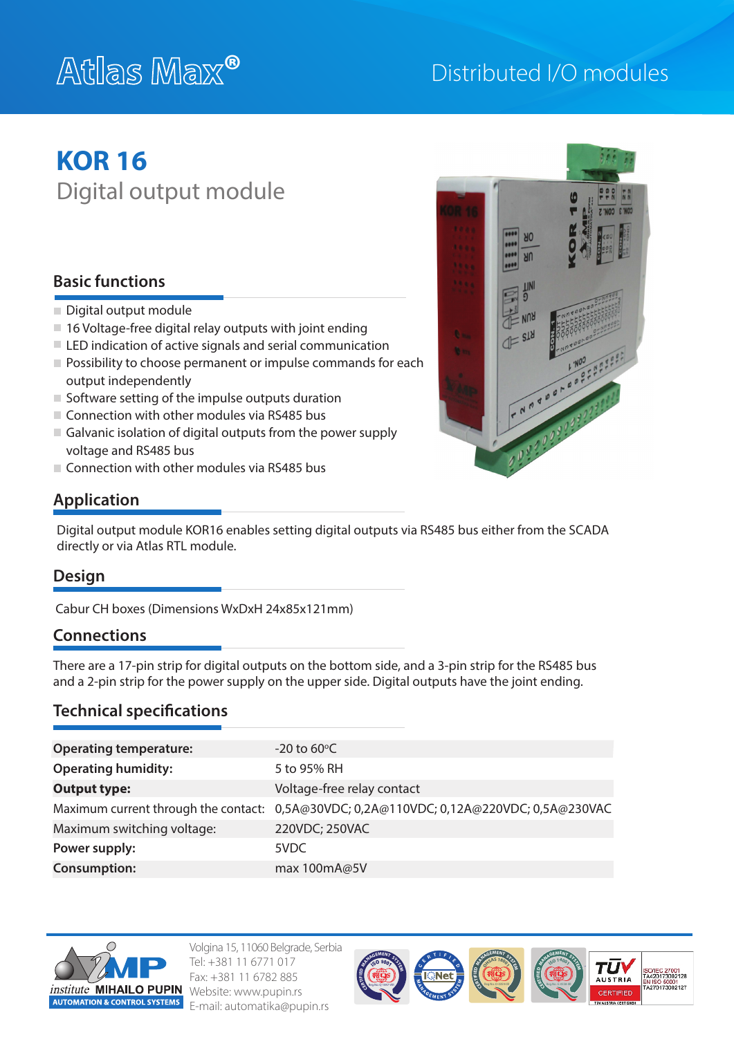# **®**

### Distributed I/O modules

## **KOR 16** Digital output module

### **Basic functions**

- Digital output module
- 16 Voltage-free digital relay outputs with joint ending
- $\blacksquare$  LED indication of active signals and serial communication
- **Possibility to choose permanent or impulse commands for each** output independently
- $\blacksquare$  Software setting of the impulse outputs duration
- $\blacksquare$  Connection with other modules via RS485 bus
- Galvanic isolation of digital outputs from the power supply voltage and RS485 bus
- $\Box$  Connection with other modules via RS485 bus



#### **Application**

Digital output module KOR16 enables setting digital outputs via RS485 bus either from the SCADA directly or via Atlas RTL module.

#### **Design**

Cabur CH boxes (Dimensions WxDxH 24x85x121mm)

#### **Connections**

There are a 17-pin strip for digital outputs on the bottom side, and a 3-pin strip for the RS485 bus and a 2-pin strip for the power supply on the upper side. Digital outputs have the joint ending.

#### **Technical specifications**

| <b>Operating temperature:</b> | $-20$ to 60 $\degree$ C                                                                 |
|-------------------------------|-----------------------------------------------------------------------------------------|
| <b>Operating humidity:</b>    | 5 to 95% RH                                                                             |
| <b>Output type:</b>           | Voltage-free relay contact                                                              |
|                               | Maximum current through the contact: 0,5A@30VDC; 0,2A@110VDC; 0,12A@220VDC; 0,5A@230VAC |
| Maximum switching voltage:    | 220VDC; 250VAC                                                                          |
| Power supply:                 | 5VDC                                                                                    |
| <b>Consumption:</b>           | max 100mA@5V                                                                            |



Volgina 15, 11060 Belgrade, Serbia Tel: +381 11 6771 017 Fax: +381 11 6782 885 Website: www.pupin.rs E-mail: automatika@pupin.rs